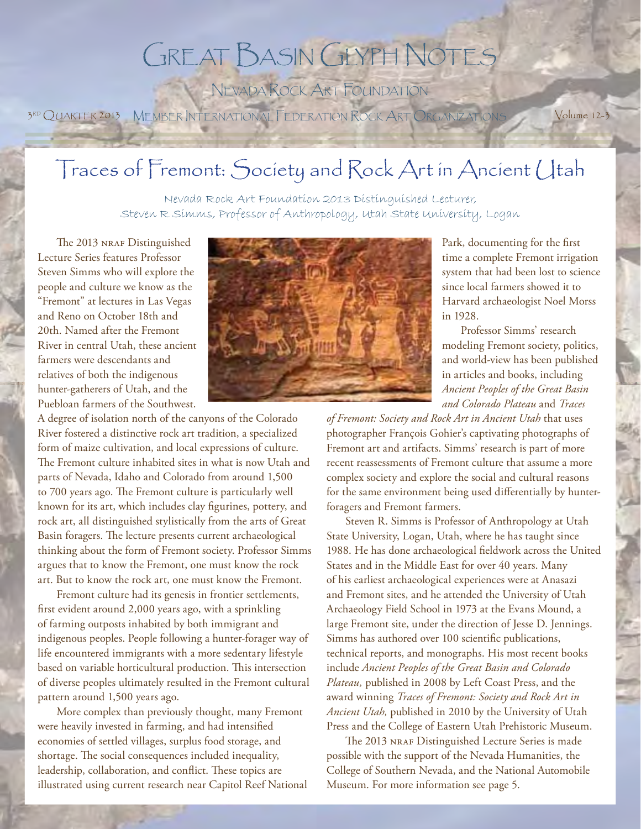# GREAT BASIN GLYPH NOTES

NEVADA ROCK ART FOUNDATION

3RD QUARTER 2013 MEMBER INTERNATIONAL FEDERATION ROCK ART ORGANIZATIONS Volume 12-3

## Traces of Fremont: Society and Rock Art in Ancient Utah

Nevada Rock Art Foundation 2013 Distinguished Lecturer, Steven R Simms, Professor of Anthropology, Utah State University, Logan

The 2013 NRAF Distinguished Lecture Series features Professor Steven Simms who will explore the people and culture we know as the "Fremont" at lectures in Las Vegas and Reno on October 18th and 20th. Named after the Fremont River in central Utah, these ancient farmers were descendants and relatives of both the indigenous hunter-gatherers of Utah, and the Puebloan farmers of the Southwest.

A degree of isolation north of the canyons of the Colorado River fostered a distinctive rock art tradition, a specialized form of maize cultivation, and local expressions of culture. The Fremont culture inhabited sites in what is now Utah and parts of Nevada, Idaho and Colorado from around 1,500 to 700 years ago. The Fremont culture is particularly well known for its art, which includes clay figurines, pottery, and rock art, all distinguished stylistically from the arts of Great Basin foragers. The lecture presents current archaeological thinking about the form of Fremont society. Professor Simms argues that to know the Fremont, one must know the rock art. But to know the rock art, one must know the Fremont.

Fremont culture had its genesis in frontier settlements, first evident around 2,000 years ago, with a sprinkling of farming outposts inhabited by both immigrant and indigenous peoples. People following a hunter-forager way of life encountered immigrants with a more sedentary lifestyle based on variable horticultural production. This intersection of diverse peoples ultimately resulted in the Fremont cultural pattern around 1,500 years ago.

More complex than previously thought, many Fremont were heavily invested in farming, and had intensified economies of settled villages, surplus food storage, and shortage. The social consequences included inequality, leadership, collaboration, and conflict. These topics are illustrated using current research near Capitol Reef National



Park, documenting for the first time a complete Fremont irrigation system that had been lost to science since local farmers showed it to Harvard archaeologist Noel Morss in 1928.

Professor Simms' research modeling Fremont society, politics, and world-view has been published in articles and books, including *Ancient Peoples of the Great Basin and Colorado Plateau* and *Traces* 

*of Fremont: Society and Rock Art in Ancient Utah* that uses photographer François Gohier's captivating photographs of Fremont art and artifacts. Simms' research is part of more recent reassessments of Fremont culture that assume a more complex society and explore the social and cultural reasons for the same environment being used differentially by hunterforagers and Fremont farmers.

Steven R. Simms is Professor of Anthropology at Utah State University, Logan, Utah, where he has taught since 1988. He has done archaeological fieldwork across the United States and in the Middle East for over 40 years. Many of his earliest archaeological experiences were at Anasazi and Fremont sites, and he attended the University of Utah Archaeology Field School in 1973 at the Evans Mound, a large Fremont site, under the direction of Jesse D. Jennings. Simms has authored over 100 scientific publications, technical reports, and monographs. His most recent books include *Ancient Peoples of the Great Basin and Colorado Plateau,* published in 2008 by Left Coast Press, and the award winning *Traces of Fremont: Society and Rock Art in Ancient Utah,* published in 2010 by the University of Utah Press and the College of Eastern Utah Prehistoric Museum.

The 2013 NRAF Distinguished Lecture Series is made possible with the support of the Nevada Humanities, the College of Southern Nevada, and the National Automobile Museum. For more information see page 5.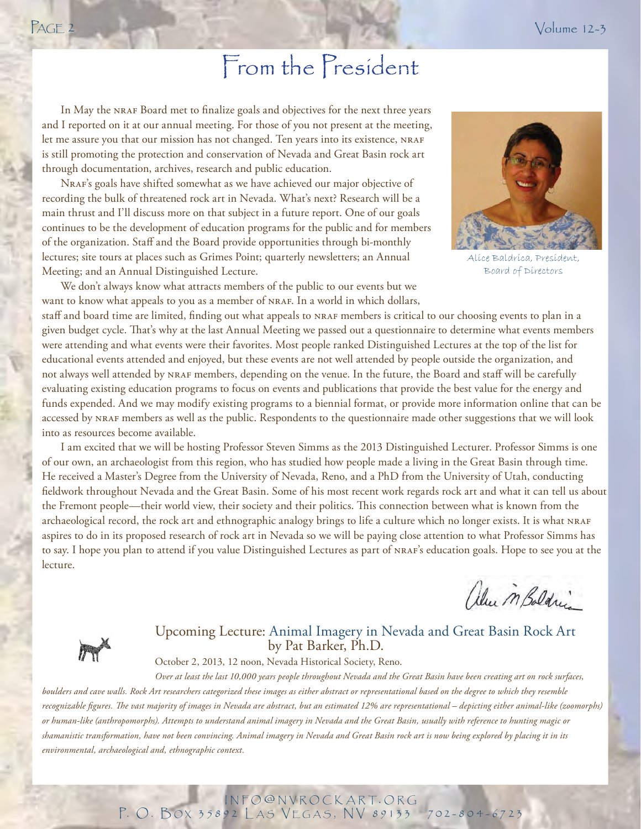In May the NRAF Board met to finalize goals and objectives for the next three years and I reported on it at our annual meeting. For those of you not present at the meeting, let me assure you that our mission has not changed. Ten years into its existence, NRAF is still promoting the protection and conservation of Nevada and Great Basin rock art through documentation, archives, research and public education.

NRAF's goals have shifted somewhat as we have achieved our major objective of recording the bulk of threatened rock art in Nevada. What's next? Research will be a main thrust and I'll discuss more on that subject in a future report. One of our goals continues to be the development of education programs for the public and for members of the organization. Staff and the Board provide opportunities through bi-monthly lectures; site tours at places such as Grimes Point; quarterly newsletters; an Annual Meeting; and an Annual Distinguished Lecture.

We don't always know what attracts members of the public to our events but we want to know what appeals to you as a member of NRAF. In a world in which dollars,



Alice Baldrica, President, Board of Directors

staff and board time are limited, finding out what appeals to NRAF members is critical to our choosing events to plan in a given budget cycle. That's why at the last Annual Meeting we passed out a questionnaire to determine what events members were attending and what events were their favorites. Most people ranked Distinguished Lectures at the top of the list for educational events attended and enjoyed, but these events are not well attended by people outside the organization, and not always well attended by NRAF members, depending on the venue. In the future, the Board and staff will be carefully evaluating existing education programs to focus on events and publications that provide the best value for the energy and funds expended. And we may modify existing programs to a biennial format, or provide more information online that can be accessed by nraf members as well as the public. Respondents to the questionnaire made other suggestions that we will look into as resources become available.

I am excited that we will be hosting Professor Steven Simms as the 2013 Distinguished Lecturer. Professor Simms is one of our own, an archaeologist from this region, who has studied how people made a living in the Great Basin through time. He received a Master's Degree from the University of Nevada, Reno, and a PhD from the University of Utah, conducting fieldwork throughout Nevada and the Great Basin. Some of his most recent work regards rock art and what it can tell us about the Fremont people—their world view, their society and their politics. This connection between what is known from the archaeological record, the rock art and ethnographic analogy brings to life a culture which no longer exists. It is what nraf aspires to do in its proposed research of rock art in Nevada so we will be paying close attention to what Professor Simms has to say. I hope you plan to attend if you value Distinguished Lectures as part of <code>nr</code>aF's education goals. Hope to see you at the lecture.

alu MBaldrin



### Upcoming Lecture: Animal Imagery in Nevada and Great Basin Rock Art by Pat Barker, Ph.D.

October 2, 2013, 12 noon, Nevada Historical Society, Reno.

*Over at least the last 10,000 years people throughout Nevada and the Great Basin have been creating art on rock surfaces, boulders and cave walls. Rock Art researchers categorized these images as either abstract or representational based on the degree to which they resemble*  recognizable figures. The vast majority of images in Nevada are abstract, but an estimated 12% are representational – depicting either animal-like (zoomorphs) *or human-like (anthropomorphs). Attempts to understand animal imagery in Nevada and the Great Basin, usually with reference to hunting magic or shamanistic transformation, have not been convincing. Animal imagery in Nevada and Great Basin rock art is now being explored by placing it in its environmental, archaeological and, ethnographic context.*

> INFO @ NVROCKART. ORG P. O. BOX 35892 LAS VEGAS, NV 89133 -702-804-6723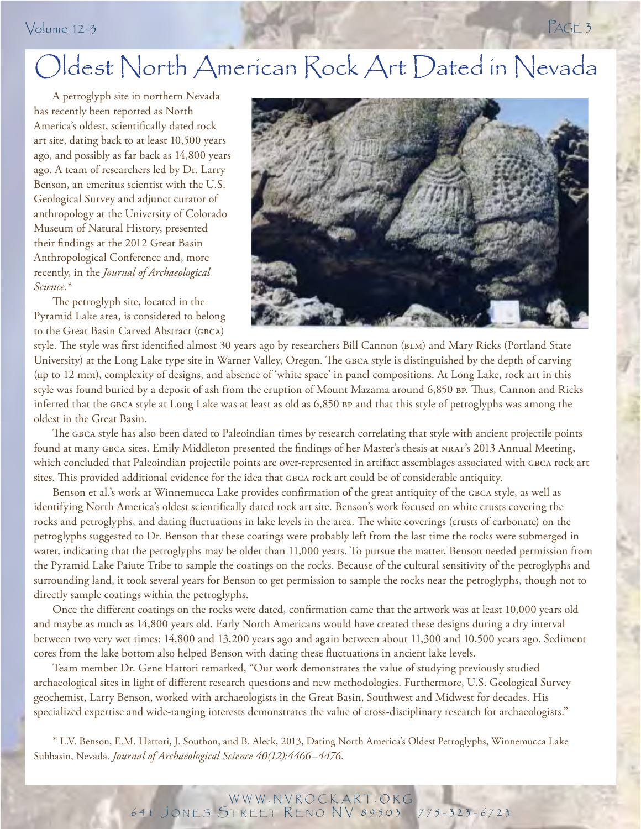## Volume 12-3 PAGE 3

# Oldest North American Rock Art Dated in Nevada

A petroglyph site in northern Nevada has recently been reported as North America's oldest, scientifically dated rock art site, dating back to at least 10,500 years ago, and possibly as far back as 14,800 years ago. A team of researchers led by Dr. Larry Benson, an emeritus scientist with the U.S. Geological Survey and adjunct curator of anthropology at the University of Colorado Museum of Natural History, presented their findings at the 2012 Great Basin Anthropological Conference and, more recently, in the *Journal of Archaeological Science.\**

The petroglyph site, located in the Pyramid Lake area, is considered to belong to the Great Basin Carved Abstract (gbca)



PAGE 3 style. The style was first identified almost 30 years ago by researchers Bill Cannon (BLM) and Mary Ricks (Portland State University) at the Long Lake type site in Warner Valley, Oregon. The GBCA style is distinguished by the depth of carving (up to 12 mm), complexity of designs, and absence of 'white space' in panel compositions. At Long Lake, rock art in this style was found buried by a deposit of ash from the eruption of Mount Mazama around 6,850 BP. Thus, Cannon and Ricks inferred that the gbca style at Long Lake was at least as old as 6,850 bp and that this style of petroglyphs was among the oldest in the Great Basin.

The GBCA style has also been dated to Paleoindian times by research correlating that style with ancient projectile points found at many GBCA sites. Emily Middleton presented the findings of her Master's thesis at NRAF's 2013 Annual Meeting, which concluded that Paleoindian projectile points are over-represented in artifact assemblages associated with GBCA rock art sites. This provided additional evidence for the idea that GBCA rock art could be of considerable antiquity.

Benson et al.'s work at Winnemucca Lake provides confirmation of the great antiquity of the GBCA style, as well as identifying North America's oldest scientifically dated rock art site. Benson's work focused on white crusts covering the rocks and petroglyphs, and dating fluctuations in lake levels in the area. The white coverings (crusts of carbonate) on the petroglyphs suggested to Dr. Benson that these coatings were probably left from the last time the rocks were submerged in water, indicating that the petroglyphs may be older than 11,000 years. To pursue the matter, Benson needed permission from the Pyramid Lake Paiute Tribe to sample the coatings on the rocks. Because of the cultural sensitivity of the petroglyphs and surrounding land, it took several years for Benson to get permission to sample the rocks near the petroglyphs, though not to directly sample coatings within the petroglyphs.

Once the different coatings on the rocks were dated, confirmation came that the artwork was at least 10,000 years old and maybe as much as 14,800 years old. Early North Americans would have created these designs during a dry interval between two very wet times: 14,800 and 13,200 years ago and again between about 11,300 and 10,500 years ago. Sediment cores from the lake bottom also helped Benson with dating these fluctuations in ancient lake levels.

Team member Dr. Gene Hattori remarked, "Our work demonstrates the value of studying previously studied archaeological sites in light of different research questions and new methodologies. Furthermore, U.S. Geological Survey geochemist, Larry Benson, worked with archaeologists in the Great Basin, Southwest and Midwest for decades. His specialized expertise and wide-ranging interests demonstrates the value of cross-disciplinary research for archaeologists."

\* L.V. Benson, E.M. Hattori, J. Southon, and B. Aleck, 2013, Dating North America's Oldest Petroglyphs, Winnemucca Lake Subbasin, Nevada. *Journal of Archaeological Science 40(12):4466–4476.*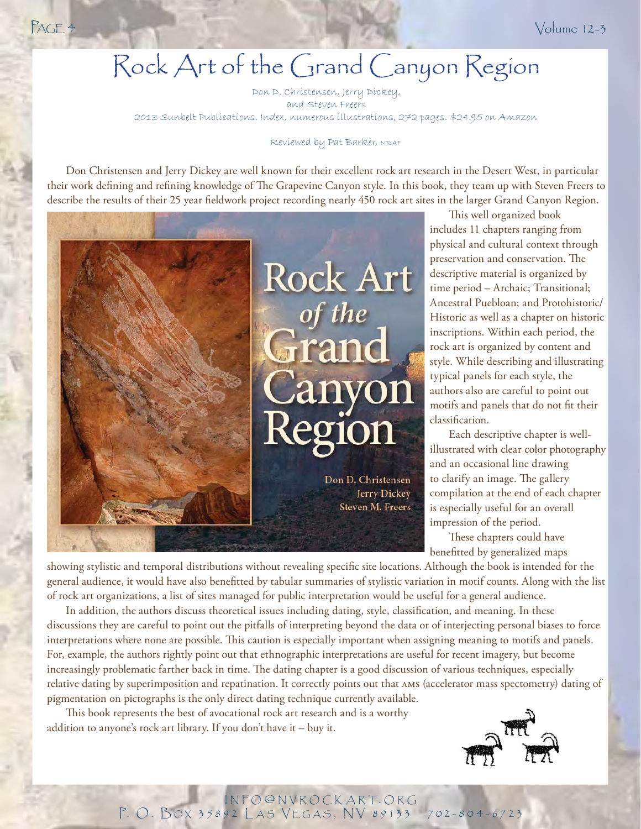# Rock Art of the Grand Canyon Region

Don D. Christensen, Jerry Dickey, and Steven Freers 2013 Sunbelt Publications. Index, numerous illustrations, 272 pages. \$24.95 on Amazon

### Reviewed by Pat Barker, NRAF

Don Christensen and Jerry Dickey are well known for their excellent rock art research in the Desert West, in particular their work defining and refining knowledge of The Grapevine Canyon style. In this book, they team up with Steven Freers to describe the results of their 25 year fieldwork project recording nearly 450 rock art sites in the larger Grand Canyon Region.



This well organized book includes 11 chapters ranging from physical and cultural context through preservation and conservation. The descriptive material is organized by time period – Archaic; Transitional; Ancestral Puebloan; and Protohistoric/ Historic as well as a chapter on historic inscriptions. Within each period, the rock art is organized by content and style. While describing and illustrating typical panels for each style, the authors also are careful to point out motifs and panels that do not fit their classification.

Each descriptive chapter is wellillustrated with clear color photography and an occasional line drawing to clarify an image. The gallery compilation at the end of each chapter is especially useful for an overall impression of the period.

These chapters could have benefitted by generalized maps

showing stylistic and temporal distributions without revealing specific site locations. Although the book is intended for the general audience, it would have also benefitted by tabular summaries of stylistic variation in motif counts. Along with the list of rock art organizations, a list of sites managed for public interpretation would be useful for a general audience.

In addition, the authors discuss theoretical issues including dating, style, classification, and meaning. In these discussions they are careful to point out the pitfalls of interpreting beyond the data or of interjecting personal biases to force interpretations where none are possible. This caution is especially important when assigning meaning to motifs and panels. For, example, the authors rightly point out that ethnographic interpretations are useful for recent imagery, but become increasingly problematic farther back in time. The dating chapter is a good discussion of various techniques, especially relative dating by superimposition and repatination. It correctly points out that ams (accelerator mass spectometry) dating of pigmentation on pictographs is the only direct dating technique currently available.

This book represents the best of avocational rock art research and is a worthy addition to anyone's rock art library. If you don't have it – buy it.

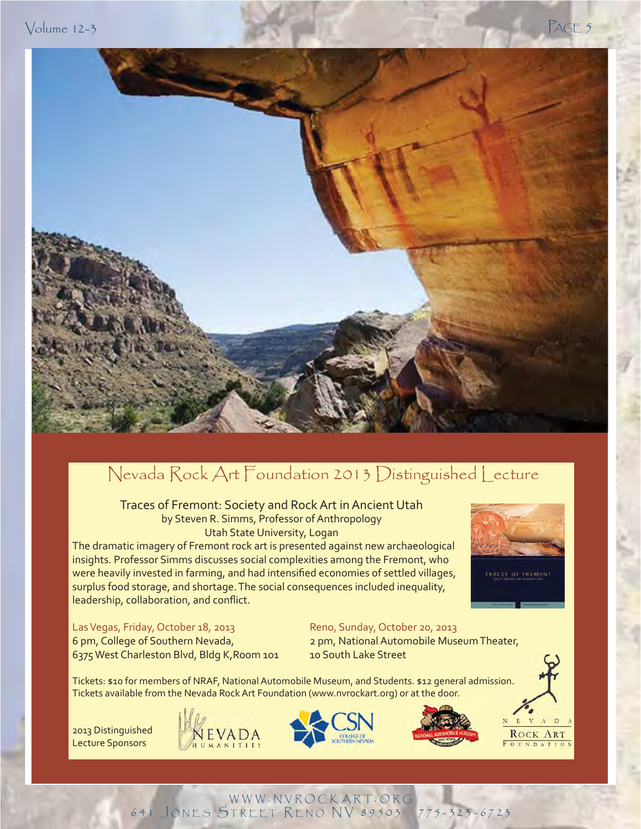$\sqrt{2}$  PAGE 5



## Nevada Rock Art Foundation 2013 Distinguished Lecture

Traces of Fremont: Society and Rock Art in Ancient Utah by Steven R. Simms, Professor of Anthropology Utah State University, Logan

The dramatic imagery of Fremont rock art is presented against new archaeological insights. Professor Simms discusses social complexities among the Fremont, who were heavily invested in farming, and had intensified economies of settled villages, surplus food storage, and shortage. The social consequences included inequality, leadership, collaboration, and conflict.



### Las Vegas, Friday, October 18, 2013 Reno, Sunday, October 20, 2013

6 pm, College of Southern Nevada, 2 pm, National Automobile Museum Theater, 6375 West Charleston Blvd, Bldg K, Room 101 10 South Lake Street

Tickets: \$10 for members of NRAF, National Automobile Museum, and Students. \$12 general admission. Tickets available from the Nevada Rock Art Foundation (www.nvrockart.org) or at the door. Tickets: \$10 for members of NRAF, National Automobile Museum, and Students. \$12 general admission.<br>2013 Distinguished MEVADA

Lecture Sponsors







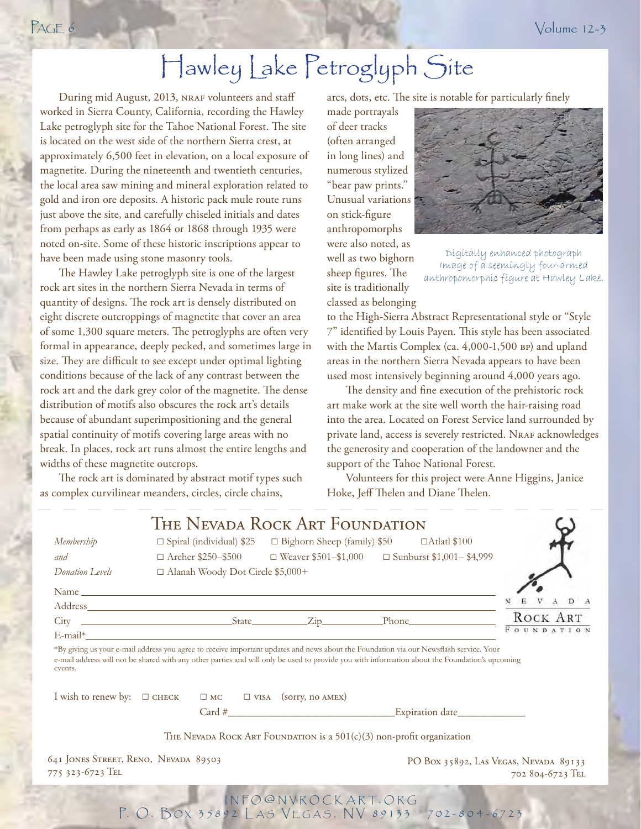# Hawley Lake Petroglyph Site

During mid August, 2013, NRAF volunteers and staff worked in Sierra County, California, recording the Hawley Lake petroglyph site for the Tahoe National Forest. The site is located on the west side of the northern Sierra crest, at approximately 6,500 feet in elevation, on a local exposure of magnetite. During the nineteenth and twentieth centuries, the local area saw mining and mineral exploration related to gold and iron ore deposits. A historic pack mule route runs just above the site, and carefully chiseled initials and dates from perhaps as early as 1864 or 1868 through 1935 were noted on-site. Some of these historic inscriptions appear to have been made using stone masonry tools.

The Hawley Lake petroglyph site is one of the largest rock art sites in the northern Sierra Nevada in terms of quantity of designs. The rock art is densely distributed on eight discrete outcroppings of magnetite that cover an area of some 1,300 square meters. The petroglyphs are often very formal in appearance, deeply pecked, and sometimes large in size. They are difficult to see except under optimal lighting conditions because of the lack of any contrast between the rock art and the dark grey color of the magnetite. The dense distribution of motifs also obscures the rock art's details because of abundant superimpositioning and the general spatial continuity of motifs covering large areas with no break. In places, rock art runs almost the entire lengths and widths of these magnetite outcrops.

The rock art is dominated by abstract motif types such as complex curvilinear meanders, circles, circle chains,

arcs, dots, etc. The site is notable for particularly finely

made portrayals of deer tracks (often arranged in long lines) and numerous stylized "bear paw prints." Unusual variations on stick-figure anthropomorphs were also noted, as well as two bighorn sheep figures. The site is traditionally classed as belonging



Digitally enhanced photograph Image of a seemingly four-armed anthropomorphic figure at Hawley Lake.

to the High-Sierra Abstract Representational style or "Style 7" identified by Louis Payen. This style has been associated with the Martis Complex (ca. 4,000-1,500 BP) and upland areas in the northern Sierra Nevada appears to have been used most intensively beginning around 4,000 years ago.

The density and fine execution of the prehistoric rock art make work at the site well worth the hair-raising road into the area. Located on Forest Service land surrounded by private land, access is severely restricted. NRAF acknowledges the generosity and cooperation of the landowner and the support of the Tahoe National Forest.

Volunteers for this project were Anne Higgins, Janice Hoke, Jeff Thelen and Diane Thelen.

|                                                          |                                                                                                                                                                                                                                                                                          | THE NEVADA ROCK ART FOUNDATION                                                                  |                                                                                       |                                                           |
|----------------------------------------------------------|------------------------------------------------------------------------------------------------------------------------------------------------------------------------------------------------------------------------------------------------------------------------------------------|-------------------------------------------------------------------------------------------------|---------------------------------------------------------------------------------------|-----------------------------------------------------------|
| Membership                                               |                                                                                                                                                                                                                                                                                          | $\square$ Spiral (individual) \$25 $\square$ Bighorn Sheep (family) \$50 $\square$ Atlatl \$100 |                                                                                       |                                                           |
| and                                                      |                                                                                                                                                                                                                                                                                          |                                                                                                 | $\Box$ Archer \$250-\$500 $\Box$ Weaver \$501-\$1,000 $\Box$ Sunburst \$1,001-\$4,999 |                                                           |
| Donation Levels                                          | □ Alanah Woody Dot Circle \$5,000+                                                                                                                                                                                                                                                       |                                                                                                 |                                                                                       |                                                           |
|                                                          |                                                                                                                                                                                                                                                                                          |                                                                                                 |                                                                                       |                                                           |
|                                                          | Address Andreas Address Address Address Address Address Address Address Address Address Address Address Address Address Address Address Address Address Address Address Address Address Address Address Address Address Addres                                                           |                                                                                                 |                                                                                       | VADA                                                      |
|                                                          |                                                                                                                                                                                                                                                                                          |                                                                                                 |                                                                                       | ROCK ART                                                  |
|                                                          |                                                                                                                                                                                                                                                                                          |                                                                                                 |                                                                                       | FOUNDATION                                                |
| events.                                                  | *By giving us your e-mail address you agree to receive important updates and news about the Foundation via our Newsflash service. Your<br>e-mail address will not be shared with any other parties and will only be used to provide you with information about the Foundation's upcoming |                                                                                                 |                                                                                       |                                                           |
| I wish to renew by: $\Box$ CHECK                         |                                                                                                                                                                                                                                                                                          | $\square$ MC $\square$ VISA (sorry, no AMEX)                                                    |                                                                                       |                                                           |
|                                                          |                                                                                                                                                                                                                                                                                          |                                                                                                 |                                                                                       |                                                           |
|                                                          |                                                                                                                                                                                                                                                                                          | THE NEVADA ROCK ART FOUNDATION is a $501(c)(3)$ non-profit organization                         |                                                                                       |                                                           |
| 641 JONES STREET, RENO, NEVADA 89503<br>775 323-6723 TEL |                                                                                                                                                                                                                                                                                          |                                                                                                 |                                                                                       | PO Box 35892, LAS VEGAS, NEVADA 89133<br>702 804-6723 TEL |
|                                                          |                                                                                                                                                                                                                                                                                          | INFO@NVROCKART.ORG                                                                              |                                                                                       |                                                           |

P. O. BOX 35892 LAS VEGAS, NV 89133 -702-804-6723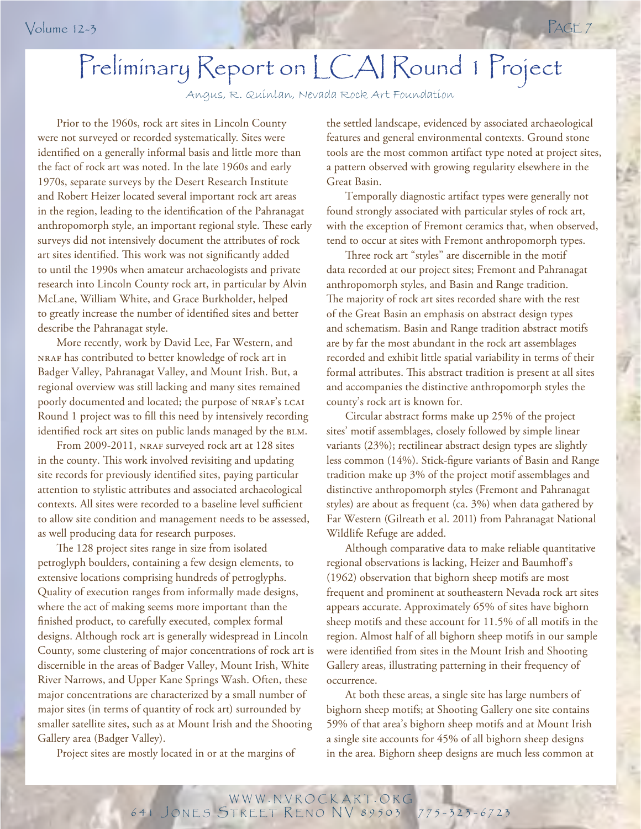# Preliminary Report on LCAI Round 1 Project

Angus, R. Quinlan, Nevada Rock Art Foundation

Prior to the 1960s, rock art sites in Lincoln County were not surveyed or recorded systematically. Sites were identified on a generally informal basis and little more than the fact of rock art was noted. In the late 1960s and early 1970s, separate surveys by the Desert Research Institute and Robert Heizer located several important rock art areas in the region, leading to the identification of the Pahranagat anthropomorph style, an important regional style. These early surveys did not intensively document the attributes of rock art sites identified. This work was not significantly added to until the 1990s when amateur archaeologists and private research into Lincoln County rock art, in particular by Alvin McLane, William White, and Grace Burkholder, helped to greatly increase the number of identified sites and better describe the Pahranagat style.

Round 1 project was to fill this need by intensively recording More recently, work by David Lee, Far Western, and nraf has contributed to better knowledge of rock art in Badger Valley, Pahranagat Valley, and Mount Irish. But, a regional overview was still lacking and many sites remained poorly documented and located; the purpose of NRAF's LCAI identified rock art sites on public lands managed by the BLM.

From 2009-2011, NRAF surveyed rock art at 128 sites in the county. This work involved revisiting and updating site records for previously identified sites, paying particular attention to stylistic attributes and associated archaeological contexts. All sites were recorded to a baseline level sufficient to allow site condition and management needs to be assessed, as well producing data for research purposes.

The 128 project sites range in size from isolated petroglyph boulders, containing a few design elements, to extensive locations comprising hundreds of petroglyphs. Quality of execution ranges from informally made designs, where the act of making seems more important than the finished product, to carefully executed, complex formal designs. Although rock art is generally widespread in Lincoln County, some clustering of major concentrations of rock art is discernible in the areas of Badger Valley, Mount Irish, White River Narrows, and Upper Kane Springs Wash. Often, these major concentrations are characterized by a small number of major sites (in terms of quantity of rock art) surrounded by smaller satellite sites, such as at Mount Irish and the Shooting Gallery area (Badger Valley).

Project sites are mostly located in or at the margins of

the settled landscape, evidenced by associated archaeological features and general environmental contexts. Ground stone tools are the most common artifact type noted at project sites, a pattern observed with growing regularity elsewhere in the Great Basin.

Temporally diagnostic artifact types were generally not found strongly associated with particular styles of rock art, with the exception of Fremont ceramics that, when observed, tend to occur at sites with Fremont anthropomorph types.

Three rock art "styles" are discernible in the motif data recorded at our project sites; Fremont and Pahranagat anthropomorph styles, and Basin and Range tradition. The majority of rock art sites recorded share with the rest of the Great Basin an emphasis on abstract design types and schematism. Basin and Range tradition abstract motifs are by far the most abundant in the rock art assemblages recorded and exhibit little spatial variability in terms of their formal attributes. This abstract tradition is present at all sites and accompanies the distinctive anthropomorph styles the county's rock art is known for.

Circular abstract forms make up 25% of the project sites' motif assemblages, closely followed by simple linear variants (23%); rectilinear abstract design types are slightly less common (14%). Stick-figure variants of Basin and Range tradition make up 3% of the project motif assemblages and distinctive anthropomorph styles (Fremont and Pahranagat styles) are about as frequent (ca. 3%) when data gathered by Far Western (Gilreath et al. 2011) from Pahranagat National Wildlife Refuge are added.

Although comparative data to make reliable quantitative regional observations is lacking, Heizer and Baumhoff 's (1962) observation that bighorn sheep motifs are most frequent and prominent at southeastern Nevada rock art sites appears accurate. Approximately 65% of sites have bighorn sheep motifs and these account for 11.5% of all motifs in the region. Almost half of all bighorn sheep motifs in our sample were identified from sites in the Mount Irish and Shooting Gallery areas, illustrating patterning in their frequency of occurrence.

At both these areas, a single site has large numbers of bighorn sheep motifs; at Shooting Gallery one site contains 59% of that area's bighorn sheep motifs and at Mount Irish a single site accounts for 45% of all bighorn sheep designs in the area. Bighorn sheep designs are much less common at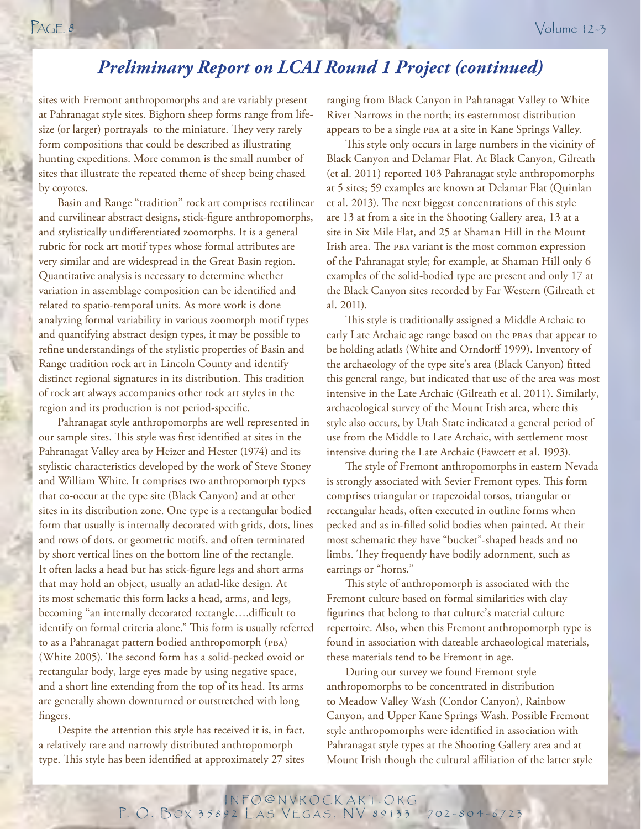## *Preliminary Report on LCAI Round 1 Project (continued)*

sites with Fremont anthropomorphs and are variably present at Pahranagat style sites. Bighorn sheep forms range from lifesize (or larger) portrayals to the miniature. They very rarely form compositions that could be described as illustrating hunting expeditions. More common is the small number of sites that illustrate the repeated theme of sheep being chased by coyotes.

Basin and Range "tradition" rock art comprises rectilinear and curvilinear abstract designs, stick-figure anthropomorphs, and stylistically undifferentiated zoomorphs. It is a general rubric for rock art motif types whose formal attributes are very similar and are widespread in the Great Basin region. Quantitative analysis is necessary to determine whether variation in assemblage composition can be identified and related to spatio-temporal units. As more work is done analyzing formal variability in various zoomorph motif types and quantifying abstract design types, it may be possible to refine understandings of the stylistic properties of Basin and Range tradition rock art in Lincoln County and identify distinct regional signatures in its distribution. This tradition of rock art always accompanies other rock art styles in the region and its production is not period-specific.

Pahranagat style anthropomorphs are well represented in our sample sites. This style was first identified at sites in the Pahranagat Valley area by Heizer and Hester (1974) and its stylistic characteristics developed by the work of Steve Stoney and William White. It comprises two anthropomorph types that co-occur at the type site (Black Canyon) and at other sites in its distribution zone. One type is a rectangular bodied form that usually is internally decorated with grids, dots, lines and rows of dots, or geometric motifs, and often terminated by short vertical lines on the bottom line of the rectangle. It often lacks a head but has stick-figure legs and short arms that may hold an object, usually an atlatl-like design. At its most schematic this form lacks a head, arms, and legs, becoming "an internally decorated rectangle....difficult to identify on formal criteria alone." This form is usually referred to as a Pahranagat pattern bodied anthropomorph (pba) (White 2005). The second form has a solid-pecked ovoid or rectangular body, large eyes made by using negative space, and a short line extending from the top of its head. Its arms are generally shown downturned or outstretched with long fingers.

Despite the attention this style has received it is, in fact, a relatively rare and narrowly distributed anthropomorph type. This style has been identified at approximately 27 sites

ranging from Black Canyon in Pahranagat Valley to White River Narrows in the north; its easternmost distribution appears to be a single pba at a site in Kane Springs Valley.

This style only occurs in large numbers in the vicinity of Black Canyon and Delamar Flat. At Black Canyon, Gilreath (et al. 2011) reported 103 Pahranagat style anthropomorphs at 5 sites; 59 examples are known at Delamar Flat (Quinlan et al. 2013). The next biggest concentrations of this style are 13 at from a site in the Shooting Gallery area, 13 at a site in Six Mile Flat, and 25 at Shaman Hill in the Mount Irish area. The PBA variant is the most common expression of the Pahranagat style; for example, at Shaman Hill only 6 examples of the solid-bodied type are present and only 17 at the Black Canyon sites recorded by Far Western (Gilreath et al. 2011).

This style is traditionally assigned a Middle Archaic to early Late Archaic age range based on the PBAs that appear to be holding atlatls (White and Orndorff 1999). Inventory of the archaeology of the type site's area (Black Canyon) fitted this general range, but indicated that use of the area was most intensive in the Late Archaic (Gilreath et al. 2011). Similarly, archaeological survey of the Mount Irish area, where this style also occurs, by Utah State indicated a general period of use from the Middle to Late Archaic, with settlement most intensive during the Late Archaic (Fawcett et al. 1993).

The style of Fremont anthropomorphs in eastern Nevada is strongly associated with Sevier Fremont types. This form comprises triangular or trapezoidal torsos, triangular or rectangular heads, often executed in outline forms when pecked and as in-filled solid bodies when painted. At their most schematic they have "bucket"-shaped heads and no limbs. They frequently have bodily adornment, such as earrings or "horns."

This style of anthropomorph is associated with the Fremont culture based on formal similarities with clay figurines that belong to that culture's material culture repertoire. Also, when this Fremont anthropomorph type is found in association with dateable archaeological materials, these materials tend to be Fremont in age.

During our survey we found Fremont style anthropomorphs to be concentrated in distribution to Meadow Valley Wash (Condor Canyon), Rainbow Canyon, and Upper Kane Springs Wash. Possible Fremont style anthropomorphs were identified in association with Pahranagat style types at the Shooting Gallery area and at Mount Irish though the cultural affiliation of the latter style

INFO @ NVROCKART. ORG P. O. BOX 35892 LAS VEGAS, NV 89133 702-804-6723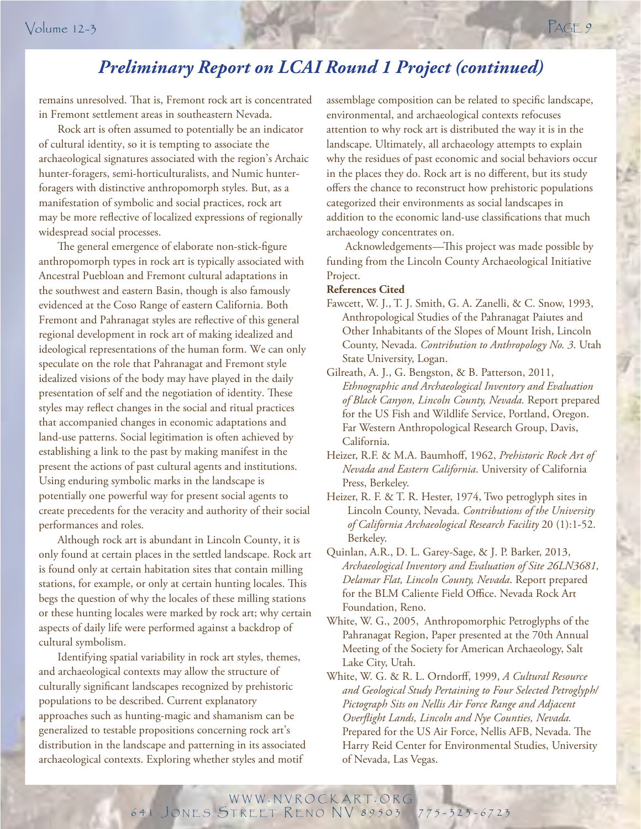## *Preliminary Report on LCAI Round 1 Project (continued)*

remains unresolved. That is, Fremont rock art is concentrated in Fremont settlement areas in southeastern Nevada.

Rock art is often assumed to potentially be an indicator of cultural identity, so it is tempting to associate the archaeological signatures associated with the region's Archaic hunter-foragers, semi-horticulturalists, and Numic hunterforagers with distinctive anthropomorph styles. But, as a manifestation of symbolic and social practices, rock art may be more reflective of localized expressions of regionally widespread social processes.

 $\mathbf{e}_{\mathbf{S}}$ The general emergence of elaborate non-stick-figure anthropomorph types in rock art is typically associated with Ancestral Puebloan and Fremont cultural adaptations in the southwest and eastern Basin, though is also famously evidenced at the Coso Range of eastern California. Both Fremont and Pahranagat styles are reflective of this general regional development in rock art of making idealized and ideological representations of the human form. We can only speculate on the role that Pahranagat and Fremont style idealized visions of the body may have played in the daily presentation of self and the negotiation of identity. These styles may reflect changes in the social and ritual practices that accompanied changes in economic adaptations and land-use patterns. Social legitimation is often achieved by establishing a link to the past by making manifest in the present the actions of past cultural agents and institutions. Using enduring symbolic marks in the landscape is potentially one powerful way for present social agents to create precedents for the veracity and authority of their social performances and roles.

Although rock art is abundant in Lincoln County, it is only found at certain places in the settled landscape. Rock art is found only at certain habitation sites that contain milling stations, for example, or only at certain hunting locales. This begs the question of why the locales of these milling stations or these hunting locales were marked by rock art; why certain aspects of daily life were performed against a backdrop of cultural symbolism.

Identifying spatial variability in rock art styles, themes, and archaeological contexts may allow the structure of culturally significant landscapes recognized by prehistoric populations to be described. Current explanatory approaches such as hunting-magic and shamanism can be generalized to testable propositions concerning rock art's distribution in the landscape and patterning in its associated archaeological contexts. Exploring whether styles and motif

assemblage composition can be related to specific landscape, environmental, and archaeological contexts refocuses attention to why rock art is distributed the way it is in the landscape. Ultimately, all archaeology attempts to explain why the residues of past economic and social behaviors occur in the places they do. Rock art is no different, but its study offers the chance to reconstruct how prehistoric populations categorized their environments as social landscapes in addition to the economic land-use classifications that much archaeology concentrates on.

Acknowledgements—This project was made possible by funding from the Lincoln County Archaeological Initiative Project.

### **References Cited**

- Fawcett, W. J., T. J. Smith, G. A. Zanelli, & C. Snow, 1993, Anthropological Studies of the Pahranagat Paiutes and Other Inhabitants of the Slopes of Mount Irish, Lincoln County, Nevada. *Contribution to Anthropology No. 3*. Utah State University, Logan.
- Gilreath, A. J., G. Bengston, & B. Patterson, 2011, *Ethnographic and Archaeological Inventory and Evaluation of Black Canyon, Lincoln County, Nevada.* Report prepared for the US Fish and Wildlife Service, Portland, Oregon. Far Western Anthropological Research Group, Davis, California.
- Heizer, R.F. & M.A. Baumhoff, 1962, *Prehistoric Rock Art of Nevada and Eastern California*. University of California Press, Berkeley.
- Heizer, R. F. & T. R. Hester, 1974, Two petroglyph sites in Lincoln County, Nevada. *Contributions of the University of California Archaeological Research Facility* 20 (1):1-52. Berkeley.
- Quinlan, A.R., D. L. Garey-Sage, & J. P. Barker, 2013, *Archaeological Inventory and Evaluation of Site 26LN3681, Delamar Flat, Lincoln County, Nevada*. Report prepared for the BLM Caliente Field Office. Nevada Rock Art Foundation, Reno.
- White, W. G., 2005, Anthropomorphic Petroglyphs of the Pahranagat Region, Paper presented at the 70th Annual Meeting of the Society for American Archaeology, Salt Lake City, Utah.
- White, W. G. & R. L. Orndorff, 1999, *A Cultural Resource and Geological Study Pertaining to Four Selected Petroglyph/ Pictograph Sits on Nellis Air Force Range and Adjacent Overfl ight Lands, Lincoln and Nye Counties, Nevada.* Prepared for the US Air Force, Nellis AFB, Nevada. The Harry Reid Center for Environmental Studies, University of Nevada, Las Vegas.